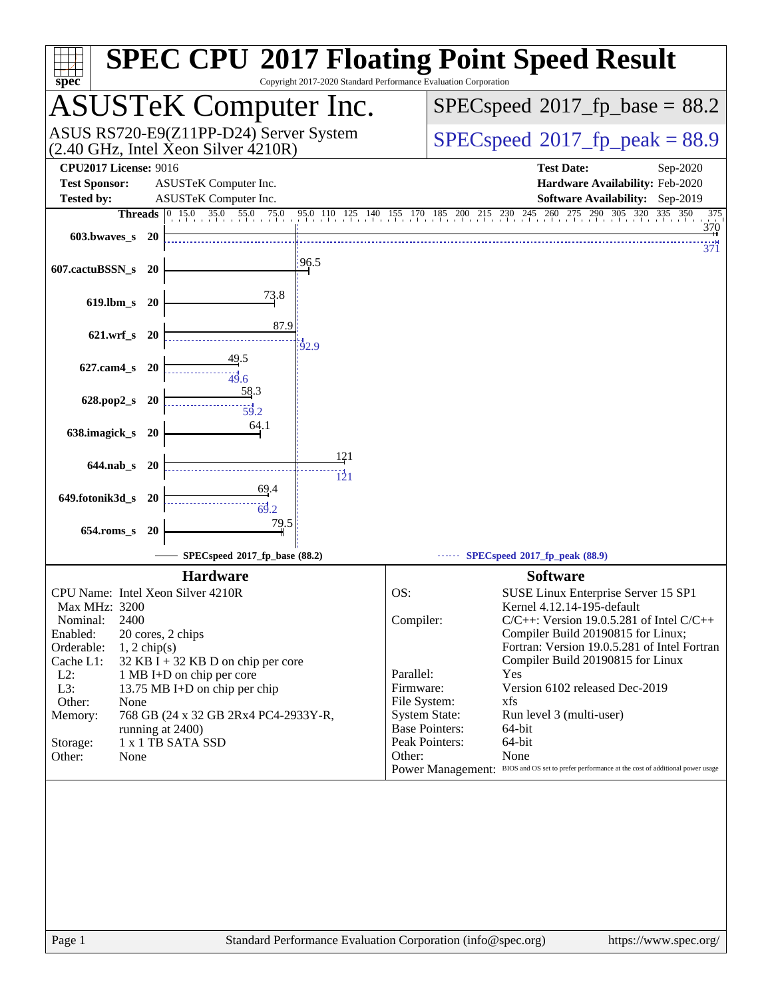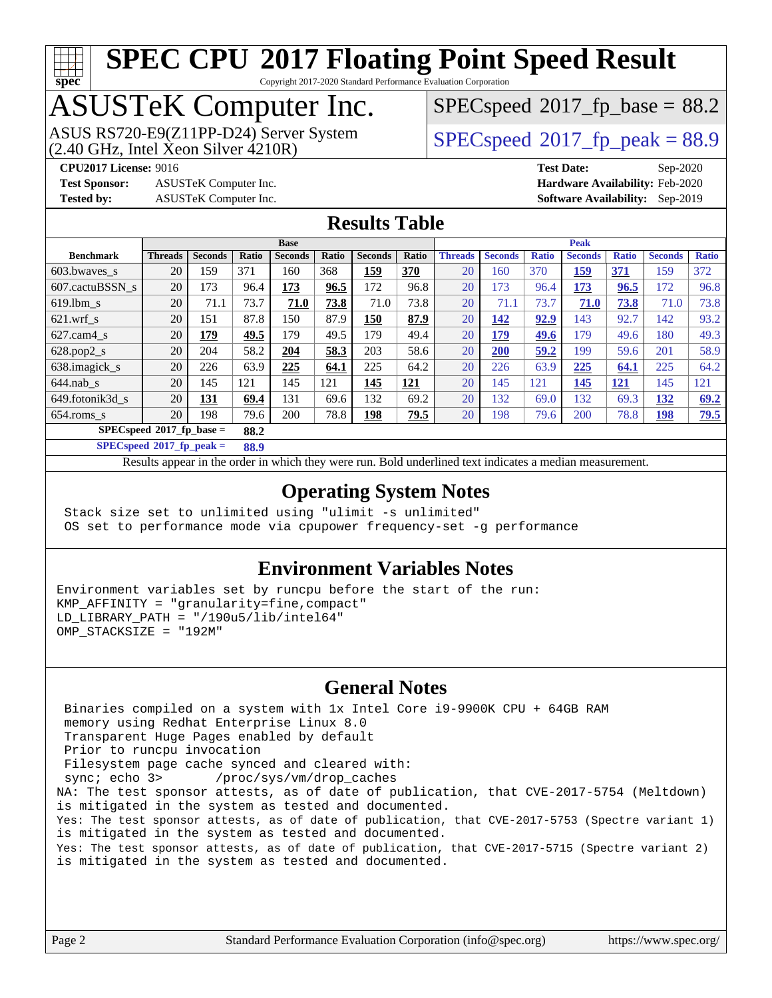# **[spec](http://www.spec.org/)**

# **[SPEC CPU](http://www.spec.org/auto/cpu2017/Docs/result-fields.html#SPECCPU2017FloatingPointSpeedResult)[2017 Floating Point Speed Result](http://www.spec.org/auto/cpu2017/Docs/result-fields.html#SPECCPU2017FloatingPointSpeedResult)**

Copyright 2017-2020 Standard Performance Evaluation Corporation

## ASUSTeK Computer Inc.

 $(2.40 \text{ GHz}, \text{Intel } \hat{\text{X}}$ con Silver  $4210\text{R}$ ) ASUS RS720-E9(Z11PP-D24) Server System  $SPIECSpeed^{\circ}2017$  fp\_peak = 88.9

 $SPECspeed*2017_fp\_base = 88.2$  $SPECspeed*2017_fp\_base = 88.2$ 

**[Test Sponsor:](http://www.spec.org/auto/cpu2017/Docs/result-fields.html#TestSponsor)** ASUSTeK Computer Inc. **[Hardware Availability:](http://www.spec.org/auto/cpu2017/Docs/result-fields.html#HardwareAvailability)** Feb-2020 **[Tested by:](http://www.spec.org/auto/cpu2017/Docs/result-fields.html#Testedby)** ASUSTeK Computer Inc. **[Software Availability:](http://www.spec.org/auto/cpu2017/Docs/result-fields.html#SoftwareAvailability)** Sep-2019

**[CPU2017 License:](http://www.spec.org/auto/cpu2017/Docs/result-fields.html#CPU2017License)** 9016 **[Test Date:](http://www.spec.org/auto/cpu2017/Docs/result-fields.html#TestDate)** Sep-2020

### **[Results Table](http://www.spec.org/auto/cpu2017/Docs/result-fields.html#ResultsTable)**

|                                    | <b>Base</b>    |                |       |                |       | <b>Peak</b>    |            |                |                |              |                |              |                |              |
|------------------------------------|----------------|----------------|-------|----------------|-------|----------------|------------|----------------|----------------|--------------|----------------|--------------|----------------|--------------|
| <b>Benchmark</b>                   | <b>Threads</b> | <b>Seconds</b> | Ratio | <b>Seconds</b> | Ratio | <b>Seconds</b> | Ratio      | <b>Threads</b> | <b>Seconds</b> | <b>Ratio</b> | <b>Seconds</b> | <b>Ratio</b> | <b>Seconds</b> | <b>Ratio</b> |
| $603.bwaves$ s                     | 20             | 159            | 371   | 160            | 368   | 159            | <b>370</b> | 20             | 160            | 370          | 159            | <b>371</b>   | 159            | 372          |
| 607.cactuBSSN s                    | 20             | 173            | 96.4  | 173            | 96.5  | 172            | 96.8       | 20             | 173            | 96.4         | 173            | 96.5         | 172            | 96.8         |
| $619.1$ bm s                       | 20             | 71.1           | 73.7  | 71.0           | 73.8  | 71.0           | 73.8       | 20             | 71.1           | 73.7         | 71.0           | 73.8         | 71.0           | 73.8         |
| $621$ .wrf s                       | 20             | 151            | 87.8  | 150            | 87.9  | 150            | 87.9       | 20             | 142            | 92.9         | 143            | 92.7         | 142            | 93.2         |
| $627$ .cam $4 \text{ s}$           | 20             | 179            | 49.5  | 179            | 49.5  | 179            | 49.4       | 20             | 179            | 49.6         | 179            | 49.6         | 180            | 49.3         |
| $628.pop2_s$                       | 20             | 204            | 58.2  | 204            | 58.3  | 203            | 58.6       | 20             | <b>200</b>     | 59.2         | 199            | 59.6         | 201            | 58.9         |
| 638.imagick_s                      | 20             | 226            | 63.9  | 225            | 64.1  | 225            | 64.2       | 20             | 226            | 63.9         | 225            | 64.1         | 225            | 64.2         |
| $644$ .nab s                       | 20             | 145            | 121   | 145            | 121   | 145            | 121        | 20             | 145            | 121          | 145            | <u> 121</u>  | 145            | 121          |
| 649.fotonik3d s                    | 20             | <b>131</b>     | 69.4  | 131            | 69.6  | 132            | 69.2       | 20             | 132            | 69.0         | 132            | 69.3         | 132            | 69.2         |
| $654$ .roms s                      | 20             | 198            | 79.6  | 200            | 78.8  | <u> 198</u>    | 79.5       | 20             | 198            | 79.6         | 200            | 78.8         | <u>198</u>     | 79.5         |
| $SPECspeed*2017$ fp base =<br>88.2 |                |                |       |                |       |                |            |                |                |              |                |              |                |              |

**[SPECspeed](http://www.spec.org/auto/cpu2017/Docs/result-fields.html#SPECspeed2017fppeak)[2017\\_fp\\_peak =](http://www.spec.org/auto/cpu2017/Docs/result-fields.html#SPECspeed2017fppeak) 88.9**

Results appear in the [order in which they were run.](http://www.spec.org/auto/cpu2017/Docs/result-fields.html#RunOrder) Bold underlined text [indicates a median measurement](http://www.spec.org/auto/cpu2017/Docs/result-fields.html#Median).

### **[Operating System Notes](http://www.spec.org/auto/cpu2017/Docs/result-fields.html#OperatingSystemNotes)**

 Stack size set to unlimited using "ulimit -s unlimited" OS set to performance mode via cpupower frequency-set -g performance

### **[Environment Variables Notes](http://www.spec.org/auto/cpu2017/Docs/result-fields.html#EnvironmentVariablesNotes)**

Environment variables set by runcpu before the start of the run: KMP\_AFFINITY = "granularity=fine,compact" LD LIBRARY PATH =  $\sqrt{190u5/lib/intel64}$ " OMP\_STACKSIZE = "192M"

### **[General Notes](http://www.spec.org/auto/cpu2017/Docs/result-fields.html#GeneralNotes)**

 Binaries compiled on a system with 1x Intel Core i9-9900K CPU + 64GB RAM memory using Redhat Enterprise Linux 8.0 Transparent Huge Pages enabled by default Prior to runcpu invocation Filesystem page cache synced and cleared with: sync; echo 3> /proc/sys/vm/drop\_caches NA: The test sponsor attests, as of date of publication, that CVE-2017-5754 (Meltdown) is mitigated in the system as tested and documented. Yes: The test sponsor attests, as of date of publication, that CVE-2017-5753 (Spectre variant 1) is mitigated in the system as tested and documented. Yes: The test sponsor attests, as of date of publication, that CVE-2017-5715 (Spectre variant 2) is mitigated in the system as tested and documented.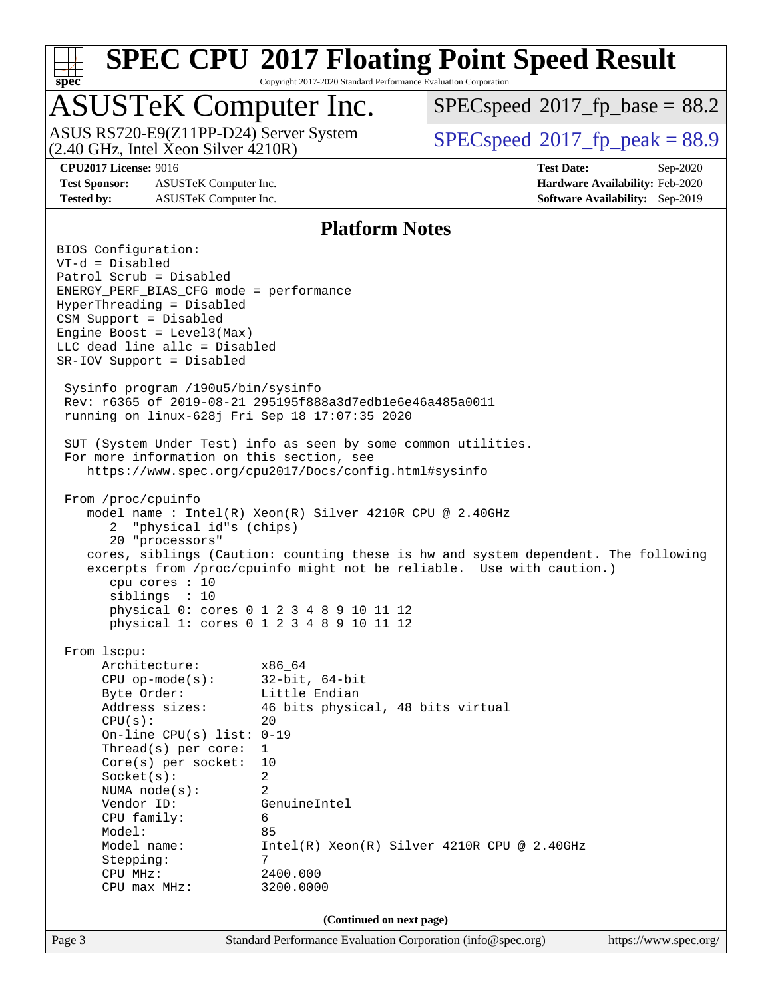

Copyright 2017-2020 Standard Performance Evaluation Corporation

## ASUSTeK Computer Inc.

(2.40 GHz, Intel Xeon Silver 4210R) ASUS RS720-E9(Z11PP-D24) Server System  $SPIECSpeed^{\circ}2017$  fp\_peak = 88.9

 $SPECspeed^{\circledcirc}2017$  $SPECspeed^{\circledcirc}2017$  fp base = 88.2

**[Test Sponsor:](http://www.spec.org/auto/cpu2017/Docs/result-fields.html#TestSponsor)** ASUSTeK Computer Inc. **[Hardware Availability:](http://www.spec.org/auto/cpu2017/Docs/result-fields.html#HardwareAvailability)** Feb-2020 **[Tested by:](http://www.spec.org/auto/cpu2017/Docs/result-fields.html#Testedby)** ASUSTeK Computer Inc. **[Software Availability:](http://www.spec.org/auto/cpu2017/Docs/result-fields.html#SoftwareAvailability)** Sep-2019

**[CPU2017 License:](http://www.spec.org/auto/cpu2017/Docs/result-fields.html#CPU2017License)** 9016 **[Test Date:](http://www.spec.org/auto/cpu2017/Docs/result-fields.html#TestDate)** Sep-2020

### **[Platform Notes](http://www.spec.org/auto/cpu2017/Docs/result-fields.html#PlatformNotes)**

Page 3 Standard Performance Evaluation Corporation [\(info@spec.org\)](mailto:info@spec.org) <https://www.spec.org/> BIOS Configuration: VT-d = Disabled Patrol Scrub = Disabled ENERGY\_PERF\_BIAS\_CFG mode = performance HyperThreading = Disabled CSM Support = Disabled Engine Boost =  $Level3(Max)$ LLC dead line allc = Disabled SR-IOV Support = Disabled Sysinfo program /190u5/bin/sysinfo Rev: r6365 of 2019-08-21 295195f888a3d7edb1e6e46a485a0011 running on linux-628j Fri Sep 18 17:07:35 2020 SUT (System Under Test) info as seen by some common utilities. For more information on this section, see <https://www.spec.org/cpu2017/Docs/config.html#sysinfo> From /proc/cpuinfo model name : Intel(R) Xeon(R) Silver 4210R CPU @ 2.40GHz 2 "physical id"s (chips) 20 "processors" cores, siblings (Caution: counting these is hw and system dependent. The following excerpts from /proc/cpuinfo might not be reliable. Use with caution.) cpu cores : 10 siblings : 10 physical 0: cores 0 1 2 3 4 8 9 10 11 12 physical 1: cores 0 1 2 3 4 8 9 10 11 12 From lscpu: Architecture: x86\_64 CPU op-mode(s): 32-bit, 64-bit Byte Order: Little Endian Address sizes: 46 bits physical, 48 bits virtual  $CPU(s):$  20 On-line CPU(s) list: 0-19 Thread(s) per core: 1 Core(s) per socket: 10 Socket(s): 2 NUMA node(s): 2 Vendor ID: GenuineIntel CPU family: 6 Model: 85 Model name: Intel(R) Xeon(R) Silver 4210R CPU @ 2.40GHz Stepping: 7 CPU MHz: 2400.000 CPU max MHz: 3200.0000 **(Continued on next page)**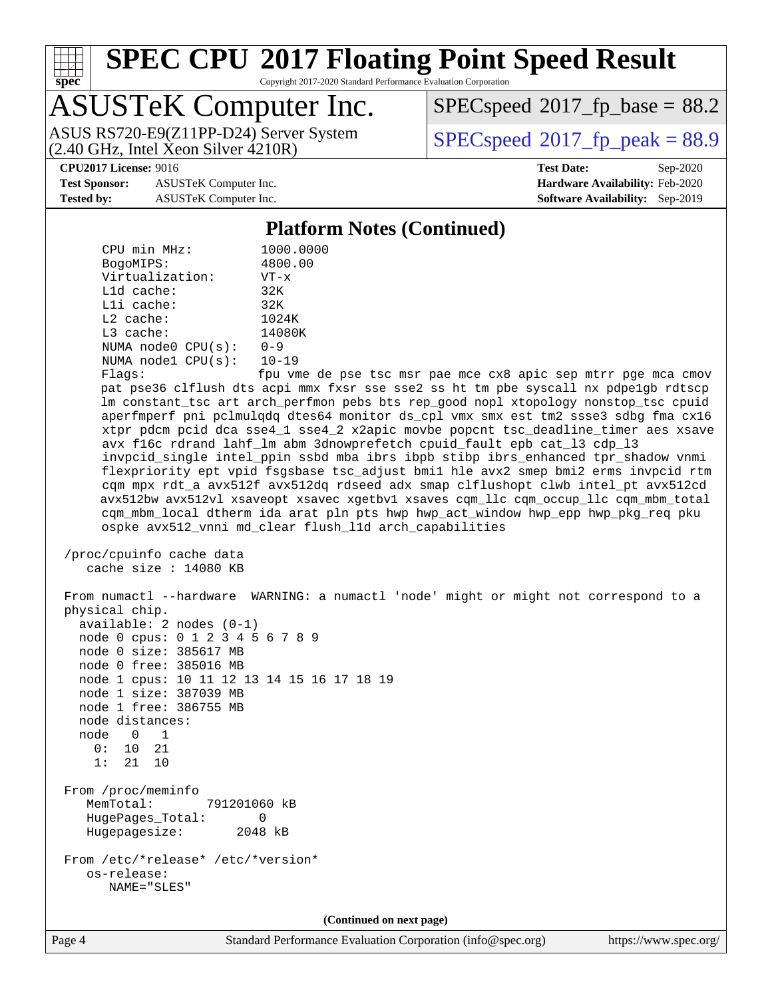

Copyright 2017-2020 Standard Performance Evaluation Corporation

## ASUSTeK Computer Inc.

 $(2.40 \text{ GHz}, \text{Intel } \hat{\text{X}}$ con Silver  $4210\text{R}$ ) ASUS RS720-E9(Z11PP-D24) Server System  $SPIECSpeed^{\circ}2017$  fp\_peak = 88.9

 $SPECspeed^{\circledcirc}2017$  $SPECspeed^{\circledcirc}2017$  fp base = 88.2

**[Test Sponsor:](http://www.spec.org/auto/cpu2017/Docs/result-fields.html#TestSponsor)** ASUSTeK Computer Inc. **[Hardware Availability:](http://www.spec.org/auto/cpu2017/Docs/result-fields.html#HardwareAvailability)** Feb-2020 **[Tested by:](http://www.spec.org/auto/cpu2017/Docs/result-fields.html#Testedby)** ASUSTeK Computer Inc. **[Software Availability:](http://www.spec.org/auto/cpu2017/Docs/result-fields.html#SoftwareAvailability)** Sep-2019

**[CPU2017 License:](http://www.spec.org/auto/cpu2017/Docs/result-fields.html#CPU2017License)** 9016 **[Test Date:](http://www.spec.org/auto/cpu2017/Docs/result-fields.html#TestDate)** Sep-2020

### **[Platform Notes \(Continued\)](http://www.spec.org/auto/cpu2017/Docs/result-fields.html#PlatformNotes)**

| CPU min MHz:            | 1000.0000 |
|-------------------------|-----------|
| BogoMIPS:               | 4800.00   |
| Virtualization:         | $VT - x$  |
| $L1d$ cache:            | 32K       |
| Lli cache:              | 32K       |
| $L2$ cache:             | 1024K     |
| L3 cache:               | 14080K    |
| NUMA $node0$ $CPU(s)$ : | $0 - 9$   |
| NUMA nodel CPU(s):      | $10 - 19$ |
|                         |           |

Flags: fpu vme de pse tsc msr pae mce cx8 apic sep mtrr pge mca cmov pat pse36 clflush dts acpi mmx fxsr sse sse2 ss ht tm pbe syscall nx pdpe1gb rdtscp lm constant\_tsc art arch\_perfmon pebs bts rep\_good nopl xtopology nonstop\_tsc cpuid aperfmperf pni pclmulqdq dtes64 monitor ds\_cpl vmx smx est tm2 ssse3 sdbg fma cx16 xtpr pdcm pcid dca sse4\_1 sse4\_2 x2apic movbe popcnt tsc\_deadline\_timer aes xsave avx f16c rdrand lahf\_lm abm 3dnowprefetch cpuid\_fault epb cat\_l3 cdp\_l3 invpcid\_single intel\_ppin ssbd mba ibrs ibpb stibp ibrs\_enhanced tpr\_shadow vnmi flexpriority ept vpid fsgsbase tsc\_adjust bmi1 hle avx2 smep bmi2 erms invpcid rtm cqm mpx rdt\_a avx512f avx512dq rdseed adx smap clflushopt clwb intel\_pt avx512cd avx512bw avx512vl xsaveopt xsavec xgetbv1 xsaves cqm\_llc cqm\_occup\_llc cqm\_mbm\_total cqm\_mbm\_local dtherm ida arat pln pts hwp hwp\_act\_window hwp\_epp hwp\_pkg\_req pku ospke avx512\_vnni md\_clear flush\_l1d arch\_capabilities

```
 /proc/cpuinfo cache data
   cache size : 14080 KB
```
 From numactl --hardware WARNING: a numactl 'node' might or might not correspond to a physical chip. available: 2 nodes (0-1) node 0 cpus: 0 1 2 3 4 5 6 7 8 9 node 0 size: 385617 MB node 0 free: 385016 MB node 1 cpus: 10 11 12 13 14 15 16 17 18 19 node 1 size: 387039 MB node 1 free: 386755 MB node distances: node 0 1 0: 10 21 1: 21 10 From /proc/meminfo MemTotal: 791201060 kB HugePages\_Total: 0 Hugepagesize: 2048 kB From /etc/\*release\* /etc/\*version\* os-release: NAME="SLES"

**(Continued on next page)**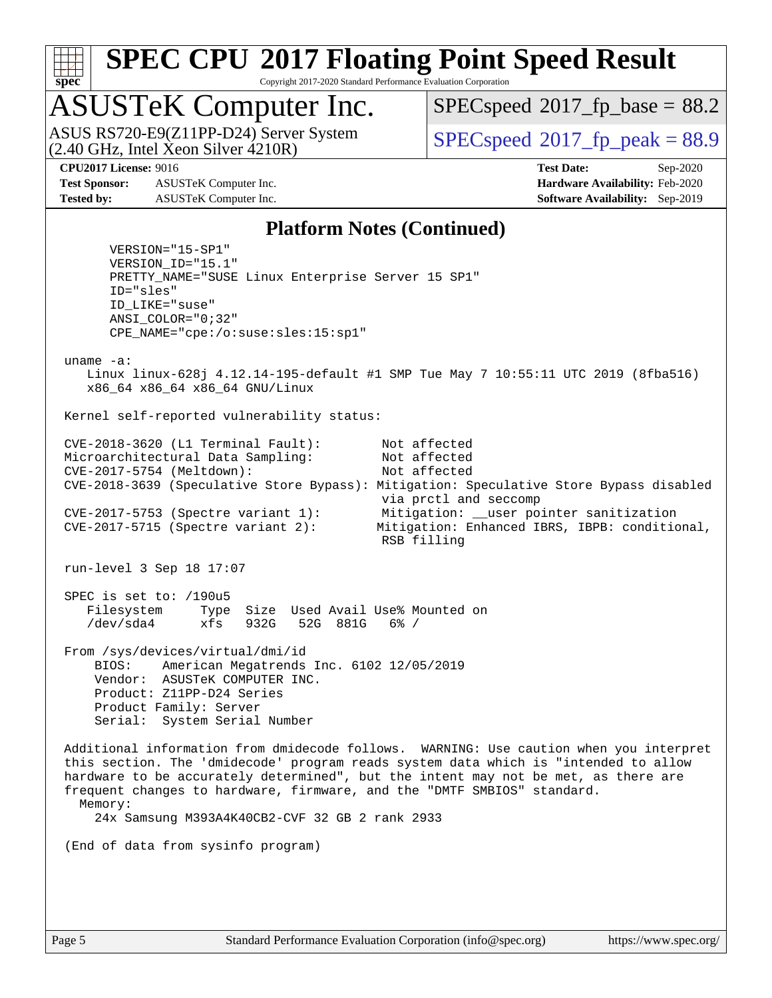

Copyright 2017-2020 Standard Performance Evaluation Corporation

## ASUSTeK Computer Inc.

 $(2.40 \text{ GHz}, \text{Intel } \hat{\text{X}}$ con Silver  $4210\text{R}$ ) ASUS RS720-E9(Z11PP-D24) Server System  $SPIECSpeed^{\circ}2017$  fp\_peak = 88.9

 $SPECspeed*2017_fp\_base = 88.2$  $SPECspeed*2017_fp\_base = 88.2$ 

**[Test Sponsor:](http://www.spec.org/auto/cpu2017/Docs/result-fields.html#TestSponsor)** ASUSTeK Computer Inc. **[Hardware Availability:](http://www.spec.org/auto/cpu2017/Docs/result-fields.html#HardwareAvailability)** Feb-2020 **[Tested by:](http://www.spec.org/auto/cpu2017/Docs/result-fields.html#Testedby)** ASUSTeK Computer Inc. **[Software Availability:](http://www.spec.org/auto/cpu2017/Docs/result-fields.html#SoftwareAvailability)** Sep-2019

**[CPU2017 License:](http://www.spec.org/auto/cpu2017/Docs/result-fields.html#CPU2017License)** 9016 **[Test Date:](http://www.spec.org/auto/cpu2017/Docs/result-fields.html#TestDate)** Sep-2020

### **[Platform Notes \(Continued\)](http://www.spec.org/auto/cpu2017/Docs/result-fields.html#PlatformNotes)**

 VERSION="15-SP1" VERSION\_ID="15.1" PRETTY\_NAME="SUSE Linux Enterprise Server 15 SP1" ID="sles" ID\_LIKE="suse" ANSI\_COLOR="0;32" CPE\_NAME="cpe:/o:suse:sles:15:sp1" uname -a: Linux linux-628j 4.12.14-195-default #1 SMP Tue May 7 10:55:11 UTC 2019 (8fba516) x86\_64 x86\_64 x86\_64 GNU/Linux Kernel self-reported vulnerability status: CVE-2018-3620 (L1 Terminal Fault): Not affected Microarchitectural Data Sampling: Not affected CVE-2017-5754 (Meltdown): Not affected CVE-2018-3639 (Speculative Store Bypass): Mitigation: Speculative Store Bypass disabled via prctl and seccomp CVE-2017-5753 (Spectre variant 1): Mitigation: \_\_user pointer sanitization CVE-2017-5715 (Spectre variant 2): Mitigation: Enhanced IBRS, IBPB: conditional, RSB filling run-level 3 Sep 18 17:07 SPEC is set to: /190u5 Filesystem Type Size Used Avail Use% Mounted on /dev/sda4 xfs 932G 52G 881G 6% / From /sys/devices/virtual/dmi/id BIOS: American Megatrends Inc. 6102 12/05/2019 Vendor: ASUSTeK COMPUTER INC. Product: Z11PP-D24 Series Product Family: Server Serial: System Serial Number Additional information from dmidecode follows. WARNING: Use caution when you interpret this section. The 'dmidecode' program reads system data which is "intended to allow hardware to be accurately determined", but the intent may not be met, as there are frequent changes to hardware, firmware, and the "DMTF SMBIOS" standard. Memory: 24x Samsung M393A4K40CB2-CVF 32 GB 2 rank 2933 (End of data from sysinfo program)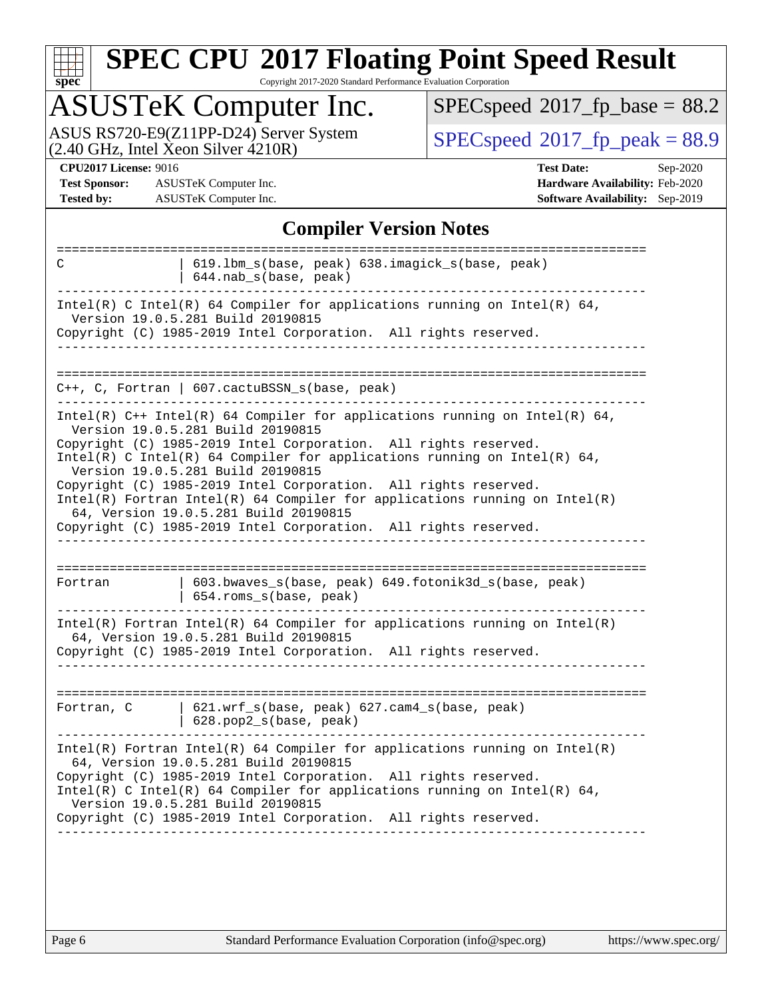| u | Q | е | û |  |
|---|---|---|---|--|

Copyright 2017-2020 Standard Performance Evaluation Corporation

## ASUSTeK Computer Inc.

ASUS RS720-E9(Z11PP-D24) Server System  $(2.40 \text{ GHz}, \text{ Intel Xeon Silver } 4210\text{R})$  [SPECspeed](http://www.spec.org/auto/cpu2017/Docs/result-fields.html#SPECspeed2017fppeak)®[2017\\_fp\\_peak = 8](http://www.spec.org/auto/cpu2017/Docs/result-fields.html#SPECspeed2017fppeak)8.9

 $SPECspeed*2017_fp\_base = 88.2$  $SPECspeed*2017_fp\_base = 88.2$ 

**[Test Sponsor:](http://www.spec.org/auto/cpu2017/Docs/result-fields.html#TestSponsor)** ASUSTeK Computer Inc. **[Hardware Availability:](http://www.spec.org/auto/cpu2017/Docs/result-fields.html#HardwareAvailability)** Feb-2020 **[Tested by:](http://www.spec.org/auto/cpu2017/Docs/result-fields.html#Testedby)** ASUSTeK Computer Inc. **[Software Availability:](http://www.spec.org/auto/cpu2017/Docs/result-fields.html#SoftwareAvailability)** Sep-2019

**[CPU2017 License:](http://www.spec.org/auto/cpu2017/Docs/result-fields.html#CPU2017License)** 9016 **[Test Date:](http://www.spec.org/auto/cpu2017/Docs/result-fields.html#TestDate)** Sep-2020

### **[Compiler Version Notes](http://www.spec.org/auto/cpu2017/Docs/result-fields.html#CompilerVersionNotes)**

| 619.1bm_s(base, peak) 638.imagick_s(base, peak)<br>C<br>$644.nab_s(base, peak)$ |                                                                                                                                                                                          |  |  |  |  |  |
|---------------------------------------------------------------------------------|------------------------------------------------------------------------------------------------------------------------------------------------------------------------------------------|--|--|--|--|--|
|                                                                                 | Intel(R) C Intel(R) 64 Compiler for applications running on Intel(R) 64,<br>Version 19.0.5.281 Build 20190815<br>Copyright (C) 1985-2019 Intel Corporation. All rights reserved.         |  |  |  |  |  |
|                                                                                 |                                                                                                                                                                                          |  |  |  |  |  |
|                                                                                 | C++, C, Fortran   607.cactuBSSN_s(base, peak)                                                                                                                                            |  |  |  |  |  |
|                                                                                 | Intel(R) $C++$ Intel(R) 64 Compiler for applications running on Intel(R) 64,<br>Version 19.0.5.281 Build 20190815<br>Copyright (C) 1985-2019 Intel Corporation. All rights reserved.     |  |  |  |  |  |
|                                                                                 | Intel(R) C Intel(R) 64 Compiler for applications running on Intel(R) 64,<br>Version 19.0.5.281 Build 20190815                                                                            |  |  |  |  |  |
|                                                                                 | Copyright (C) 1985-2019 Intel Corporation. All rights reserved.<br>Intel(R) Fortran Intel(R) 64 Compiler for applications running on $Intel(R)$<br>64, Version 19.0.5.281 Build 20190815 |  |  |  |  |  |
|                                                                                 | Copyright (C) 1985-2019 Intel Corporation. All rights reserved.                                                                                                                          |  |  |  |  |  |
|                                                                                 |                                                                                                                                                                                          |  |  |  |  |  |
| Fortran                                                                         | 603.bwaves_s(base, peak) 649.fotonik3d_s(base, peak)<br>654.roms_s(base, peak)                                                                                                           |  |  |  |  |  |
|                                                                                 | Intel(R) Fortran Intel(R) 64 Compiler for applications running on Intel(R)<br>64, Version 19.0.5.281 Build 20190815                                                                      |  |  |  |  |  |
|                                                                                 | Copyright (C) 1985-2019 Intel Corporation. All rights reserved.                                                                                                                          |  |  |  |  |  |
|                                                                                 |                                                                                                                                                                                          |  |  |  |  |  |
| Fortran, C                                                                      | $621.wrf_s(base, peak)$ $627.cam4_s(base, peak)$<br>628.pop2_s(base, peak)                                                                                                               |  |  |  |  |  |
|                                                                                 | $Intel(R)$ Fortran Intel(R) 64 Compiler for applications running on Intel(R)<br>64, Version 19.0.5.281 Build 20190815<br>Copyright (C) 1985-2019 Intel Corporation. All rights reserved. |  |  |  |  |  |
|                                                                                 | Intel(R) C Intel(R) 64 Compiler for applications running on Intel(R) 64,<br>Version 19.0.5.281 Build 20190815                                                                            |  |  |  |  |  |
|                                                                                 | Copyright (C) 1985-2019 Intel Corporation. All rights reserved.                                                                                                                          |  |  |  |  |  |
|                                                                                 |                                                                                                                                                                                          |  |  |  |  |  |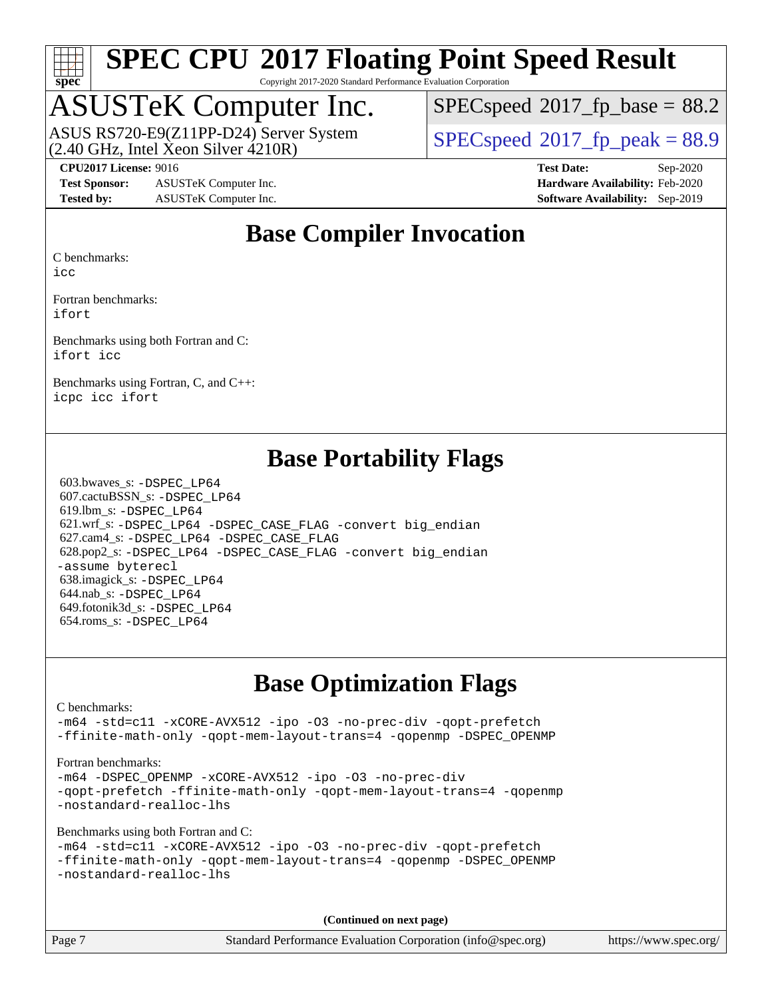

Copyright 2017-2020 Standard Performance Evaluation Corporation

### ASUSTeK Computer Inc.

(2.40 GHz, Intel Xeon Silver 4210R) ASUS RS720-E9(Z11PP-D24) Server System  $SPIECSpeed^{\circ}2017$  fp\_peak = 88.9

 $SPECspeed^{\circledcirc}2017$  $SPECspeed^{\circledcirc}2017$  fp base = 88.2

**[Test Sponsor:](http://www.spec.org/auto/cpu2017/Docs/result-fields.html#TestSponsor)** ASUSTeK Computer Inc. **[Hardware Availability:](http://www.spec.org/auto/cpu2017/Docs/result-fields.html#HardwareAvailability)** Feb-2020 **[Tested by:](http://www.spec.org/auto/cpu2017/Docs/result-fields.html#Testedby)** ASUSTeK Computer Inc. **[Software Availability:](http://www.spec.org/auto/cpu2017/Docs/result-fields.html#SoftwareAvailability)** Sep-2019

**[CPU2017 License:](http://www.spec.org/auto/cpu2017/Docs/result-fields.html#CPU2017License)** 9016 **[Test Date:](http://www.spec.org/auto/cpu2017/Docs/result-fields.html#TestDate)** Sep-2020

### **[Base Compiler Invocation](http://www.spec.org/auto/cpu2017/Docs/result-fields.html#BaseCompilerInvocation)**

[C benchmarks:](http://www.spec.org/auto/cpu2017/Docs/result-fields.html#Cbenchmarks)

[icc](http://www.spec.org/cpu2017/results/res2020q4/cpu2017-20200925-24020.flags.html#user_CCbase_intel_icc_66fc1ee009f7361af1fbd72ca7dcefbb700085f36577c54f309893dd4ec40d12360134090235512931783d35fd58c0460139e722d5067c5574d8eaf2b3e37e92)

[Fortran benchmarks](http://www.spec.org/auto/cpu2017/Docs/result-fields.html#Fortranbenchmarks): [ifort](http://www.spec.org/cpu2017/results/res2020q4/cpu2017-20200925-24020.flags.html#user_FCbase_intel_ifort_8111460550e3ca792625aed983ce982f94888b8b503583aa7ba2b8303487b4d8a21a13e7191a45c5fd58ff318f48f9492884d4413fa793fd88dd292cad7027ca)

[Benchmarks using both Fortran and C:](http://www.spec.org/auto/cpu2017/Docs/result-fields.html#BenchmarksusingbothFortranandC) [ifort](http://www.spec.org/cpu2017/results/res2020q4/cpu2017-20200925-24020.flags.html#user_CC_FCbase_intel_ifort_8111460550e3ca792625aed983ce982f94888b8b503583aa7ba2b8303487b4d8a21a13e7191a45c5fd58ff318f48f9492884d4413fa793fd88dd292cad7027ca) [icc](http://www.spec.org/cpu2017/results/res2020q4/cpu2017-20200925-24020.flags.html#user_CC_FCbase_intel_icc_66fc1ee009f7361af1fbd72ca7dcefbb700085f36577c54f309893dd4ec40d12360134090235512931783d35fd58c0460139e722d5067c5574d8eaf2b3e37e92)

[Benchmarks using Fortran, C, and C++:](http://www.spec.org/auto/cpu2017/Docs/result-fields.html#BenchmarksusingFortranCandCXX) [icpc](http://www.spec.org/cpu2017/results/res2020q4/cpu2017-20200925-24020.flags.html#user_CC_CXX_FCbase_intel_icpc_c510b6838c7f56d33e37e94d029a35b4a7bccf4766a728ee175e80a419847e808290a9b78be685c44ab727ea267ec2f070ec5dc83b407c0218cded6866a35d07) [icc](http://www.spec.org/cpu2017/results/res2020q4/cpu2017-20200925-24020.flags.html#user_CC_CXX_FCbase_intel_icc_66fc1ee009f7361af1fbd72ca7dcefbb700085f36577c54f309893dd4ec40d12360134090235512931783d35fd58c0460139e722d5067c5574d8eaf2b3e37e92) [ifort](http://www.spec.org/cpu2017/results/res2020q4/cpu2017-20200925-24020.flags.html#user_CC_CXX_FCbase_intel_ifort_8111460550e3ca792625aed983ce982f94888b8b503583aa7ba2b8303487b4d8a21a13e7191a45c5fd58ff318f48f9492884d4413fa793fd88dd292cad7027ca)

### **[Base Portability Flags](http://www.spec.org/auto/cpu2017/Docs/result-fields.html#BasePortabilityFlags)**

 603.bwaves\_s: [-DSPEC\\_LP64](http://www.spec.org/cpu2017/results/res2020q4/cpu2017-20200925-24020.flags.html#suite_basePORTABILITY603_bwaves_s_DSPEC_LP64) 607.cactuBSSN\_s: [-DSPEC\\_LP64](http://www.spec.org/cpu2017/results/res2020q4/cpu2017-20200925-24020.flags.html#suite_basePORTABILITY607_cactuBSSN_s_DSPEC_LP64) 619.lbm\_s: [-DSPEC\\_LP64](http://www.spec.org/cpu2017/results/res2020q4/cpu2017-20200925-24020.flags.html#suite_basePORTABILITY619_lbm_s_DSPEC_LP64) 621.wrf\_s: [-DSPEC\\_LP64](http://www.spec.org/cpu2017/results/res2020q4/cpu2017-20200925-24020.flags.html#suite_basePORTABILITY621_wrf_s_DSPEC_LP64) [-DSPEC\\_CASE\\_FLAG](http://www.spec.org/cpu2017/results/res2020q4/cpu2017-20200925-24020.flags.html#b621.wrf_s_baseCPORTABILITY_DSPEC_CASE_FLAG) [-convert big\\_endian](http://www.spec.org/cpu2017/results/res2020q4/cpu2017-20200925-24020.flags.html#user_baseFPORTABILITY621_wrf_s_convert_big_endian_c3194028bc08c63ac5d04de18c48ce6d347e4e562e8892b8bdbdc0214820426deb8554edfa529a3fb25a586e65a3d812c835984020483e7e73212c4d31a38223) 627.cam4\_s: [-DSPEC\\_LP64](http://www.spec.org/cpu2017/results/res2020q4/cpu2017-20200925-24020.flags.html#suite_basePORTABILITY627_cam4_s_DSPEC_LP64) [-DSPEC\\_CASE\\_FLAG](http://www.spec.org/cpu2017/results/res2020q4/cpu2017-20200925-24020.flags.html#b627.cam4_s_baseCPORTABILITY_DSPEC_CASE_FLAG) 628.pop2\_s: [-DSPEC\\_LP64](http://www.spec.org/cpu2017/results/res2020q4/cpu2017-20200925-24020.flags.html#suite_basePORTABILITY628_pop2_s_DSPEC_LP64) [-DSPEC\\_CASE\\_FLAG](http://www.spec.org/cpu2017/results/res2020q4/cpu2017-20200925-24020.flags.html#b628.pop2_s_baseCPORTABILITY_DSPEC_CASE_FLAG) [-convert big\\_endian](http://www.spec.org/cpu2017/results/res2020q4/cpu2017-20200925-24020.flags.html#user_baseFPORTABILITY628_pop2_s_convert_big_endian_c3194028bc08c63ac5d04de18c48ce6d347e4e562e8892b8bdbdc0214820426deb8554edfa529a3fb25a586e65a3d812c835984020483e7e73212c4d31a38223) [-assume byterecl](http://www.spec.org/cpu2017/results/res2020q4/cpu2017-20200925-24020.flags.html#user_baseFPORTABILITY628_pop2_s_assume_byterecl_7e47d18b9513cf18525430bbf0f2177aa9bf368bc7a059c09b2c06a34b53bd3447c950d3f8d6c70e3faf3a05c8557d66a5798b567902e8849adc142926523472) 638.imagick\_s: [-DSPEC\\_LP64](http://www.spec.org/cpu2017/results/res2020q4/cpu2017-20200925-24020.flags.html#suite_basePORTABILITY638_imagick_s_DSPEC_LP64) 644.nab\_s: [-DSPEC\\_LP64](http://www.spec.org/cpu2017/results/res2020q4/cpu2017-20200925-24020.flags.html#suite_basePORTABILITY644_nab_s_DSPEC_LP64) 649.fotonik3d\_s: [-DSPEC\\_LP64](http://www.spec.org/cpu2017/results/res2020q4/cpu2017-20200925-24020.flags.html#suite_basePORTABILITY649_fotonik3d_s_DSPEC_LP64) 654.roms\_s: [-DSPEC\\_LP64](http://www.spec.org/cpu2017/results/res2020q4/cpu2017-20200925-24020.flags.html#suite_basePORTABILITY654_roms_s_DSPEC_LP64)

### **[Base Optimization Flags](http://www.spec.org/auto/cpu2017/Docs/result-fields.html#BaseOptimizationFlags)**

[C benchmarks](http://www.spec.org/auto/cpu2017/Docs/result-fields.html#Cbenchmarks):

[-m64](http://www.spec.org/cpu2017/results/res2020q4/cpu2017-20200925-24020.flags.html#user_CCbase_m64-icc) [-std=c11](http://www.spec.org/cpu2017/results/res2020q4/cpu2017-20200925-24020.flags.html#user_CCbase_std-icc-std_0e1c27790398a4642dfca32ffe6c27b5796f9c2d2676156f2e42c9c44eaad0c049b1cdb667a270c34d979996257aeb8fc440bfb01818dbc9357bd9d174cb8524) [-xCORE-AVX512](http://www.spec.org/cpu2017/results/res2020q4/cpu2017-20200925-24020.flags.html#user_CCbase_f-xCORE-AVX512) [-ipo](http://www.spec.org/cpu2017/results/res2020q4/cpu2017-20200925-24020.flags.html#user_CCbase_f-ipo) [-O3](http://www.spec.org/cpu2017/results/res2020q4/cpu2017-20200925-24020.flags.html#user_CCbase_f-O3) [-no-prec-div](http://www.spec.org/cpu2017/results/res2020q4/cpu2017-20200925-24020.flags.html#user_CCbase_f-no-prec-div) [-qopt-prefetch](http://www.spec.org/cpu2017/results/res2020q4/cpu2017-20200925-24020.flags.html#user_CCbase_f-qopt-prefetch) [-ffinite-math-only](http://www.spec.org/cpu2017/results/res2020q4/cpu2017-20200925-24020.flags.html#user_CCbase_f_finite_math_only_cb91587bd2077682c4b38af759c288ed7c732db004271a9512da14a4f8007909a5f1427ecbf1a0fb78ff2a814402c6114ac565ca162485bbcae155b5e4258871) [-qopt-mem-layout-trans=4](http://www.spec.org/cpu2017/results/res2020q4/cpu2017-20200925-24020.flags.html#user_CCbase_f-qopt-mem-layout-trans_fa39e755916c150a61361b7846f310bcdf6f04e385ef281cadf3647acec3f0ae266d1a1d22d972a7087a248fd4e6ca390a3634700869573d231a252c784941a8) [-qopenmp](http://www.spec.org/cpu2017/results/res2020q4/cpu2017-20200925-24020.flags.html#user_CCbase_qopenmp_16be0c44f24f464004c6784a7acb94aca937f053568ce72f94b139a11c7c168634a55f6653758ddd83bcf7b8463e8028bb0b48b77bcddc6b78d5d95bb1df2967) [-DSPEC\\_OPENMP](http://www.spec.org/cpu2017/results/res2020q4/cpu2017-20200925-24020.flags.html#suite_CCbase_DSPEC_OPENMP)

[Fortran benchmarks](http://www.spec.org/auto/cpu2017/Docs/result-fields.html#Fortranbenchmarks):

[-m64](http://www.spec.org/cpu2017/results/res2020q4/cpu2017-20200925-24020.flags.html#user_FCbase_m64-icc) [-DSPEC\\_OPENMP](http://www.spec.org/cpu2017/results/res2020q4/cpu2017-20200925-24020.flags.html#suite_FCbase_DSPEC_OPENMP) [-xCORE-AVX512](http://www.spec.org/cpu2017/results/res2020q4/cpu2017-20200925-24020.flags.html#user_FCbase_f-xCORE-AVX512) [-ipo](http://www.spec.org/cpu2017/results/res2020q4/cpu2017-20200925-24020.flags.html#user_FCbase_f-ipo) [-O3](http://www.spec.org/cpu2017/results/res2020q4/cpu2017-20200925-24020.flags.html#user_FCbase_f-O3) [-no-prec-div](http://www.spec.org/cpu2017/results/res2020q4/cpu2017-20200925-24020.flags.html#user_FCbase_f-no-prec-div) [-qopt-prefetch](http://www.spec.org/cpu2017/results/res2020q4/cpu2017-20200925-24020.flags.html#user_FCbase_f-qopt-prefetch) [-ffinite-math-only](http://www.spec.org/cpu2017/results/res2020q4/cpu2017-20200925-24020.flags.html#user_FCbase_f_finite_math_only_cb91587bd2077682c4b38af759c288ed7c732db004271a9512da14a4f8007909a5f1427ecbf1a0fb78ff2a814402c6114ac565ca162485bbcae155b5e4258871) [-qopt-mem-layout-trans=4](http://www.spec.org/cpu2017/results/res2020q4/cpu2017-20200925-24020.flags.html#user_FCbase_f-qopt-mem-layout-trans_fa39e755916c150a61361b7846f310bcdf6f04e385ef281cadf3647acec3f0ae266d1a1d22d972a7087a248fd4e6ca390a3634700869573d231a252c784941a8) [-qopenmp](http://www.spec.org/cpu2017/results/res2020q4/cpu2017-20200925-24020.flags.html#user_FCbase_qopenmp_16be0c44f24f464004c6784a7acb94aca937f053568ce72f94b139a11c7c168634a55f6653758ddd83bcf7b8463e8028bb0b48b77bcddc6b78d5d95bb1df2967) [-nostandard-realloc-lhs](http://www.spec.org/cpu2017/results/res2020q4/cpu2017-20200925-24020.flags.html#user_FCbase_f_2003_std_realloc_82b4557e90729c0f113870c07e44d33d6f5a304b4f63d4c15d2d0f1fab99f5daaed73bdb9275d9ae411527f28b936061aa8b9c8f2d63842963b95c9dd6426b8a)

[Benchmarks using both Fortran and C](http://www.spec.org/auto/cpu2017/Docs/result-fields.html#BenchmarksusingbothFortranandC):

```
-m64 -std=c11 -xCORE-AVX512 -ipo -O3 -no-prec-div -qopt-prefetch
-ffinite-math-only -qopt-mem-layout-trans=4 -qopenmp -DSPEC_OPENMP
-nostandard-realloc-lhs
```
**(Continued on next page)**

Page 7 Standard Performance Evaluation Corporation [\(info@spec.org\)](mailto:info@spec.org) <https://www.spec.org/>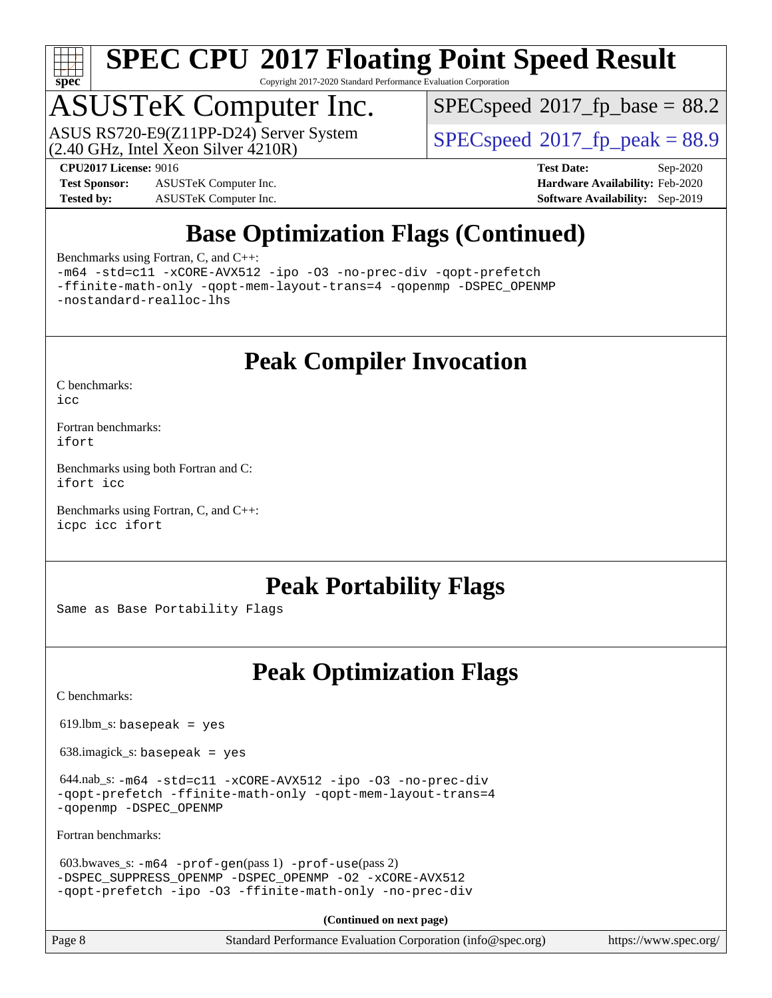

Copyright 2017-2020 Standard Performance Evaluation Corporation

## ASUSTeK Computer Inc.

 $(2.40 \text{ GHz}, \text{Intel } \hat{\text{X}}$ con Silver  $4210\text{R}$ ) ASUS RS720-E9(Z11PP-D24) Server System  $SPIECSpeed^{\circ}2017$  fp\_peak = 88.9

 $SPECspeed^{\circledcirc}2017$  $SPECspeed^{\circledcirc}2017$  fp base = 88.2

**[Test Sponsor:](http://www.spec.org/auto/cpu2017/Docs/result-fields.html#TestSponsor)** ASUSTeK Computer Inc. **[Hardware Availability:](http://www.spec.org/auto/cpu2017/Docs/result-fields.html#HardwareAvailability)** Feb-2020 **[Tested by:](http://www.spec.org/auto/cpu2017/Docs/result-fields.html#Testedby)** ASUSTeK Computer Inc. **[Software Availability:](http://www.spec.org/auto/cpu2017/Docs/result-fields.html#SoftwareAvailability)** Sep-2019

**[CPU2017 License:](http://www.spec.org/auto/cpu2017/Docs/result-fields.html#CPU2017License)** 9016 **[Test Date:](http://www.spec.org/auto/cpu2017/Docs/result-fields.html#TestDate)** Sep-2020

### **[Base Optimization Flags \(Continued\)](http://www.spec.org/auto/cpu2017/Docs/result-fields.html#BaseOptimizationFlags)**

[Benchmarks using Fortran, C, and C++:](http://www.spec.org/auto/cpu2017/Docs/result-fields.html#BenchmarksusingFortranCandCXX)

[-m64](http://www.spec.org/cpu2017/results/res2020q4/cpu2017-20200925-24020.flags.html#user_CC_CXX_FCbase_m64-icc) [-std=c11](http://www.spec.org/cpu2017/results/res2020q4/cpu2017-20200925-24020.flags.html#user_CC_CXX_FCbase_std-icc-std_0e1c27790398a4642dfca32ffe6c27b5796f9c2d2676156f2e42c9c44eaad0c049b1cdb667a270c34d979996257aeb8fc440bfb01818dbc9357bd9d174cb8524) [-xCORE-AVX512](http://www.spec.org/cpu2017/results/res2020q4/cpu2017-20200925-24020.flags.html#user_CC_CXX_FCbase_f-xCORE-AVX512) [-ipo](http://www.spec.org/cpu2017/results/res2020q4/cpu2017-20200925-24020.flags.html#user_CC_CXX_FCbase_f-ipo) [-O3](http://www.spec.org/cpu2017/results/res2020q4/cpu2017-20200925-24020.flags.html#user_CC_CXX_FCbase_f-O3) [-no-prec-div](http://www.spec.org/cpu2017/results/res2020q4/cpu2017-20200925-24020.flags.html#user_CC_CXX_FCbase_f-no-prec-div) [-qopt-prefetch](http://www.spec.org/cpu2017/results/res2020q4/cpu2017-20200925-24020.flags.html#user_CC_CXX_FCbase_f-qopt-prefetch) [-ffinite-math-only](http://www.spec.org/cpu2017/results/res2020q4/cpu2017-20200925-24020.flags.html#user_CC_CXX_FCbase_f_finite_math_only_cb91587bd2077682c4b38af759c288ed7c732db004271a9512da14a4f8007909a5f1427ecbf1a0fb78ff2a814402c6114ac565ca162485bbcae155b5e4258871) [-qopt-mem-layout-trans=4](http://www.spec.org/cpu2017/results/res2020q4/cpu2017-20200925-24020.flags.html#user_CC_CXX_FCbase_f-qopt-mem-layout-trans_fa39e755916c150a61361b7846f310bcdf6f04e385ef281cadf3647acec3f0ae266d1a1d22d972a7087a248fd4e6ca390a3634700869573d231a252c784941a8) [-qopenmp](http://www.spec.org/cpu2017/results/res2020q4/cpu2017-20200925-24020.flags.html#user_CC_CXX_FCbase_qopenmp_16be0c44f24f464004c6784a7acb94aca937f053568ce72f94b139a11c7c168634a55f6653758ddd83bcf7b8463e8028bb0b48b77bcddc6b78d5d95bb1df2967) [-DSPEC\\_OPENMP](http://www.spec.org/cpu2017/results/res2020q4/cpu2017-20200925-24020.flags.html#suite_CC_CXX_FCbase_DSPEC_OPENMP) [-nostandard-realloc-lhs](http://www.spec.org/cpu2017/results/res2020q4/cpu2017-20200925-24020.flags.html#user_CC_CXX_FCbase_f_2003_std_realloc_82b4557e90729c0f113870c07e44d33d6f5a304b4f63d4c15d2d0f1fab99f5daaed73bdb9275d9ae411527f28b936061aa8b9c8f2d63842963b95c9dd6426b8a)

### **[Peak Compiler Invocation](http://www.spec.org/auto/cpu2017/Docs/result-fields.html#PeakCompilerInvocation)**

[C benchmarks](http://www.spec.org/auto/cpu2017/Docs/result-fields.html#Cbenchmarks):

[icc](http://www.spec.org/cpu2017/results/res2020q4/cpu2017-20200925-24020.flags.html#user_CCpeak_intel_icc_66fc1ee009f7361af1fbd72ca7dcefbb700085f36577c54f309893dd4ec40d12360134090235512931783d35fd58c0460139e722d5067c5574d8eaf2b3e37e92)

[Fortran benchmarks](http://www.spec.org/auto/cpu2017/Docs/result-fields.html#Fortranbenchmarks): [ifort](http://www.spec.org/cpu2017/results/res2020q4/cpu2017-20200925-24020.flags.html#user_FCpeak_intel_ifort_8111460550e3ca792625aed983ce982f94888b8b503583aa7ba2b8303487b4d8a21a13e7191a45c5fd58ff318f48f9492884d4413fa793fd88dd292cad7027ca)

[Benchmarks using both Fortran and C](http://www.spec.org/auto/cpu2017/Docs/result-fields.html#BenchmarksusingbothFortranandC): [ifort](http://www.spec.org/cpu2017/results/res2020q4/cpu2017-20200925-24020.flags.html#user_CC_FCpeak_intel_ifort_8111460550e3ca792625aed983ce982f94888b8b503583aa7ba2b8303487b4d8a21a13e7191a45c5fd58ff318f48f9492884d4413fa793fd88dd292cad7027ca) [icc](http://www.spec.org/cpu2017/results/res2020q4/cpu2017-20200925-24020.flags.html#user_CC_FCpeak_intel_icc_66fc1ee009f7361af1fbd72ca7dcefbb700085f36577c54f309893dd4ec40d12360134090235512931783d35fd58c0460139e722d5067c5574d8eaf2b3e37e92)

[Benchmarks using Fortran, C, and C++:](http://www.spec.org/auto/cpu2017/Docs/result-fields.html#BenchmarksusingFortranCandCXX) [icpc](http://www.spec.org/cpu2017/results/res2020q4/cpu2017-20200925-24020.flags.html#user_CC_CXX_FCpeak_intel_icpc_c510b6838c7f56d33e37e94d029a35b4a7bccf4766a728ee175e80a419847e808290a9b78be685c44ab727ea267ec2f070ec5dc83b407c0218cded6866a35d07) [icc](http://www.spec.org/cpu2017/results/res2020q4/cpu2017-20200925-24020.flags.html#user_CC_CXX_FCpeak_intel_icc_66fc1ee009f7361af1fbd72ca7dcefbb700085f36577c54f309893dd4ec40d12360134090235512931783d35fd58c0460139e722d5067c5574d8eaf2b3e37e92) [ifort](http://www.spec.org/cpu2017/results/res2020q4/cpu2017-20200925-24020.flags.html#user_CC_CXX_FCpeak_intel_ifort_8111460550e3ca792625aed983ce982f94888b8b503583aa7ba2b8303487b4d8a21a13e7191a45c5fd58ff318f48f9492884d4413fa793fd88dd292cad7027ca)

### **[Peak Portability Flags](http://www.spec.org/auto/cpu2017/Docs/result-fields.html#PeakPortabilityFlags)**

Same as Base Portability Flags

### **[Peak Optimization Flags](http://www.spec.org/auto/cpu2017/Docs/result-fields.html#PeakOptimizationFlags)**

[C benchmarks](http://www.spec.org/auto/cpu2017/Docs/result-fields.html#Cbenchmarks):

 $619.$ lbm\_s: basepeak = yes

638.imagick\_s: basepeak = yes

 644.nab\_s: [-m64](http://www.spec.org/cpu2017/results/res2020q4/cpu2017-20200925-24020.flags.html#user_peakCCLD644_nab_s_m64-icc) [-std=c11](http://www.spec.org/cpu2017/results/res2020q4/cpu2017-20200925-24020.flags.html#user_peakCCLD644_nab_s_std-icc-std_0e1c27790398a4642dfca32ffe6c27b5796f9c2d2676156f2e42c9c44eaad0c049b1cdb667a270c34d979996257aeb8fc440bfb01818dbc9357bd9d174cb8524) [-xCORE-AVX512](http://www.spec.org/cpu2017/results/res2020q4/cpu2017-20200925-24020.flags.html#user_peakCOPTIMIZE644_nab_s_f-xCORE-AVX512) [-ipo](http://www.spec.org/cpu2017/results/res2020q4/cpu2017-20200925-24020.flags.html#user_peakCOPTIMIZE644_nab_s_f-ipo) [-O3](http://www.spec.org/cpu2017/results/res2020q4/cpu2017-20200925-24020.flags.html#user_peakCOPTIMIZE644_nab_s_f-O3) [-no-prec-div](http://www.spec.org/cpu2017/results/res2020q4/cpu2017-20200925-24020.flags.html#user_peakCOPTIMIZE644_nab_s_f-no-prec-div) [-qopt-prefetch](http://www.spec.org/cpu2017/results/res2020q4/cpu2017-20200925-24020.flags.html#user_peakCOPTIMIZE644_nab_s_f-qopt-prefetch) [-ffinite-math-only](http://www.spec.org/cpu2017/results/res2020q4/cpu2017-20200925-24020.flags.html#user_peakCOPTIMIZE644_nab_s_f_finite_math_only_cb91587bd2077682c4b38af759c288ed7c732db004271a9512da14a4f8007909a5f1427ecbf1a0fb78ff2a814402c6114ac565ca162485bbcae155b5e4258871) [-qopt-mem-layout-trans=4](http://www.spec.org/cpu2017/results/res2020q4/cpu2017-20200925-24020.flags.html#user_peakCOPTIMIZE644_nab_s_f-qopt-mem-layout-trans_fa39e755916c150a61361b7846f310bcdf6f04e385ef281cadf3647acec3f0ae266d1a1d22d972a7087a248fd4e6ca390a3634700869573d231a252c784941a8) [-qopenmp](http://www.spec.org/cpu2017/results/res2020q4/cpu2017-20200925-24020.flags.html#user_peakCOPTIMIZE644_nab_s_qopenmp_16be0c44f24f464004c6784a7acb94aca937f053568ce72f94b139a11c7c168634a55f6653758ddd83bcf7b8463e8028bb0b48b77bcddc6b78d5d95bb1df2967) [-DSPEC\\_OPENMP](http://www.spec.org/cpu2017/results/res2020q4/cpu2017-20200925-24020.flags.html#suite_peakCOPTIMIZE644_nab_s_DSPEC_OPENMP)

[Fortran benchmarks](http://www.spec.org/auto/cpu2017/Docs/result-fields.html#Fortranbenchmarks):

```
 603.bwaves_s: -m64 -prof-gen(pass 1) -prof-use(pass 2)
-DSPEC_SUPPRESS_OPENMP -DSPEC_OPENMP -O2 -xCORE-AVX512
-qopt-prefetch -ipo -O3 -ffinite-math-only -no-prec-div
```
**(Continued on next page)**

Page 8 Standard Performance Evaluation Corporation [\(info@spec.org\)](mailto:info@spec.org) <https://www.spec.org/>